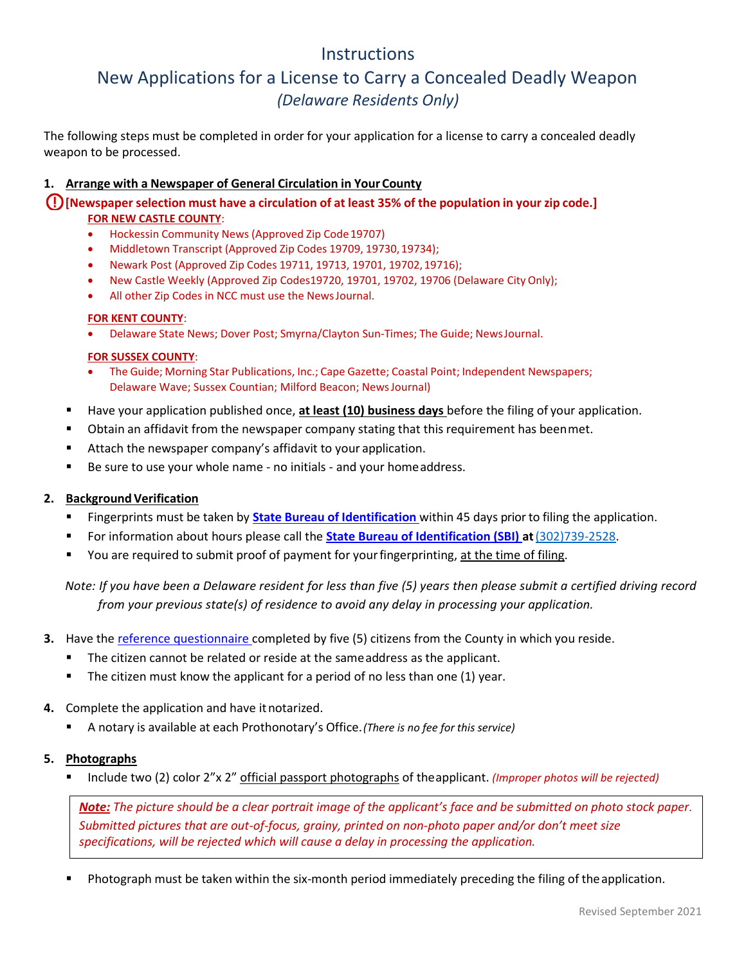# **Instructions**

# New Applications for a License to Carry a Concealed Deadly Weapon *(Delaware Residents Only)*

The following steps must be completed in order for your application for a license to carry a concealed deadly weapon to be processed.

# **1. Arrange with a Newspaper of General Circulation in Your County**

**[Newspaper selection must have a circulation of at least 35% of the population in your zip code.] FOR NEW CASTLE COUNTY**:

- Hockessin Community News (Approved Zip Code19707)
- Middletown Transcript (Approved Zip Codes 19709, 19730,19734);
- Newark Post (Approved Zip Codes 19711, 19713, 19701, 19702,19716);
- New Castle Weekly (Approved Zip Codes19720, 19701, 19702, 19706 (Delaware City Only);
- All other Zip Codes in NCC must use the NewsJournal.

# **FOR KENT COUNTY**:

• Delaware State News; Dover Post; Smyrna/Clayton Sun-Times; The Guide; NewsJournal.

#### **FOR SUSSEX COUNTY**:

- The Guide; Morning Star Publications, Inc.; Cape Gazette; Coastal Point; Independent Newspapers; Delaware Wave; Sussex Countian; Milford Beacon; NewsJournal)
- Have your application published once, **at least (10) business days** before the filing of your application.
- Obtain an affidavit from the newspaper company stating that this requirement has beenmet.
- Attach the newspaper company's affidavit to your application.
- Be sure to use your whole name no initials and your homeaddress.

# **2. Background Verification**

- Fingerprints must be taken by **State Bureau of [Identification](http://dsp.delaware.gov/state_bureau_of_identification.shtml)** within 45 days prior to filing the application.
- For information about hours please call the **[State Bureau of Identification \(SBI\) a](http://dsp.delaware.gov/state_bureau_of_identification.shtml)t**[\(302\)739-2528.](tel:+13027392528)
- You are required to submit proof of payment for your fingerprinting, at the time of filing.

*Note: If you have been a Delaware resident for less than five (5) years then please submit a certified driving record from your previous state(s) of residence to avoid any delay in processing your application.* 

- **3.** Have th[e reference questionnaire c](http://courts.delaware.gov/forms/download.aspx?ID=33218)ompleted by five (5) citizens from the County in which you reside.
	- The citizen cannot be related or reside at the same address as the applicant.
	- The citizen must know the applicant for a period of no less than one (1) year.
- **4.** Complete the application and have it notarized.
	- A notary is available at each Prothonotary's Office.*(There is no fee for this service)*

# **5. Photographs**

Include two (2) color 2"x 2" official passport photographs of theapplicant. *(Improper photos will be rejected)* 

*Note: The picture should be a clear portrait image of the applicant's face and be submitted on photo stock paper. Submitted pictures that are out-of-focus, grainy, printed on non-photo paper and/or don't meet size specifications, will be rejected which will cause a delay in processing the application.* 

Photograph must be taken within the six-month period immediately preceding the filing of the application.